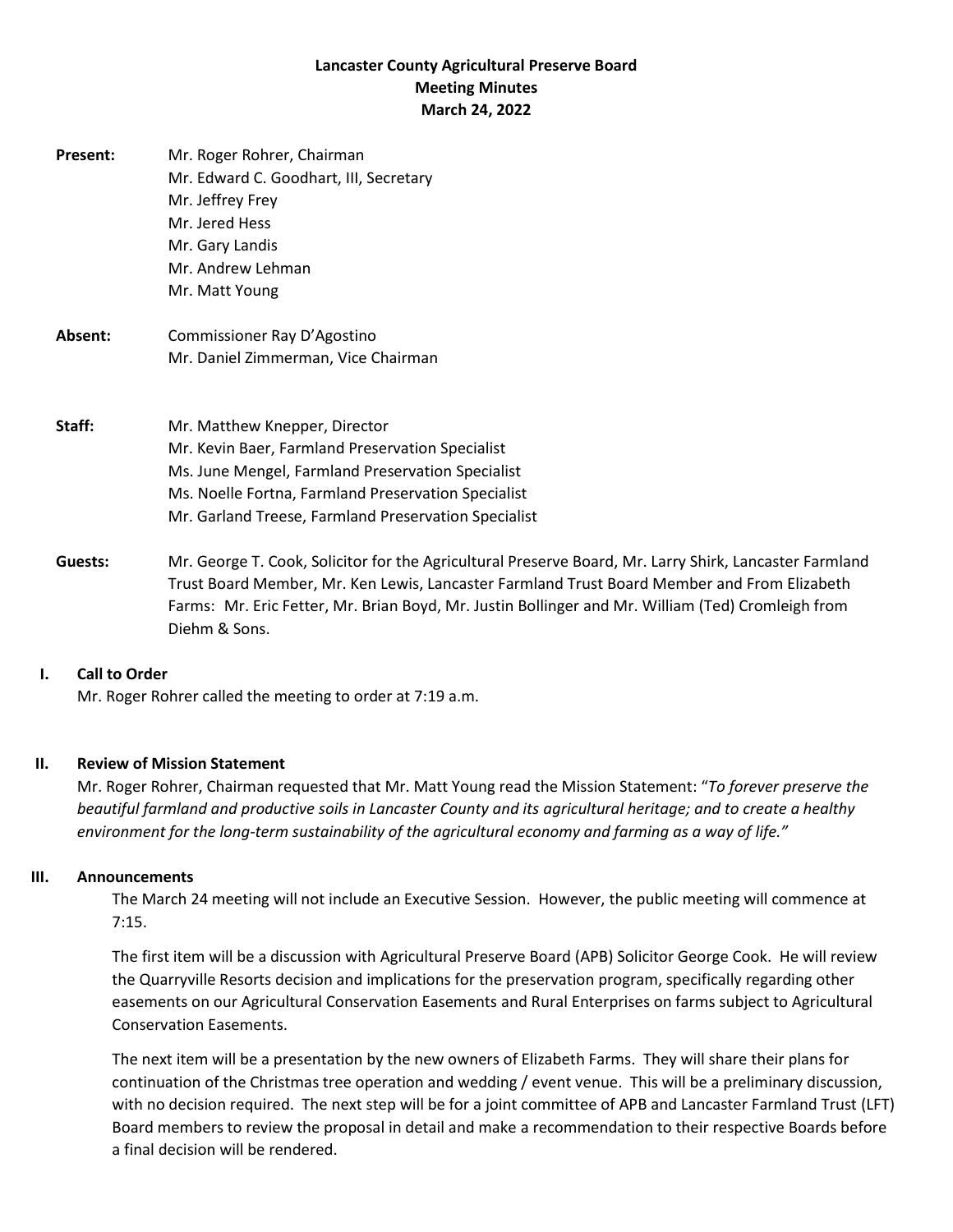# **Lancaster County Agricultural Preserve Board Meeting Minutes March 24, 2022**

| Present: | Mr. Roger Rohrer, Chairman<br>Mr. Edward C. Goodhart, III, Secretary<br>Mr. Jeffrey Frey<br>Mr. Jered Hess<br>Mr. Gary Landis<br>Mr. Andrew Lehman<br>Mr. Matt Young                                                                                  |
|----------|-------------------------------------------------------------------------------------------------------------------------------------------------------------------------------------------------------------------------------------------------------|
| Absent:  | Commissioner Ray D'Agostino<br>Mr. Daniel Zimmerman, Vice Chairman                                                                                                                                                                                    |
| Staff:   | Mr. Matthew Knepper, Director<br>Mr. Kevin Baer, Farmland Preservation Specialist<br>Ms. June Mengel, Farmland Preservation Specialist<br>Ms. Noelle Fortna, Farmland Preservation Specialist<br>Mr. Garland Treese, Farmland Preservation Specialist |

**Guests:** Mr. George T. Cook, Solicitor for the Agricultural Preserve Board, Mr. Larry Shirk, Lancaster Farmland Trust Board Member, Mr. Ken Lewis, Lancaster Farmland Trust Board Member and From Elizabeth Farms: Mr. Eric Fetter, Mr. Brian Boyd, Mr. Justin Bollinger and Mr. William (Ted) Cromleigh from Diehm & Sons.

### **I. Call to Order**

Mr. Roger Rohrer called the meeting to order at 7:19 a.m.

### **II. Review of Mission Statement**

Mr. Roger Rohrer, Chairman requested that Mr. Matt Young read the Mission Statement: "*To forever preserve the beautiful farmland and productive soils in Lancaster County and its agricultural heritage; and to create a healthy environment for the long-term sustainability of the agricultural economy and farming as a way of life."*

### **III. Announcements**

The March 24 meeting will not include an Executive Session. However, the public meeting will commence at 7:15.

The first item will be a discussion with Agricultural Preserve Board (APB) Solicitor George Cook. He will review the Quarryville Resorts decision and implications for the preservation program, specifically regarding other easements on our Agricultural Conservation Easements and Rural Enterprises on farms subject to Agricultural Conservation Easements.

The next item will be a presentation by the new owners of Elizabeth Farms. They will share their plans for continuation of the Christmas tree operation and wedding / event venue. This will be a preliminary discussion, with no decision required. The next step will be for a joint committee of APB and Lancaster Farmland Trust (LFT) Board members to review the proposal in detail and make a recommendation to their respective Boards before a final decision will be rendered.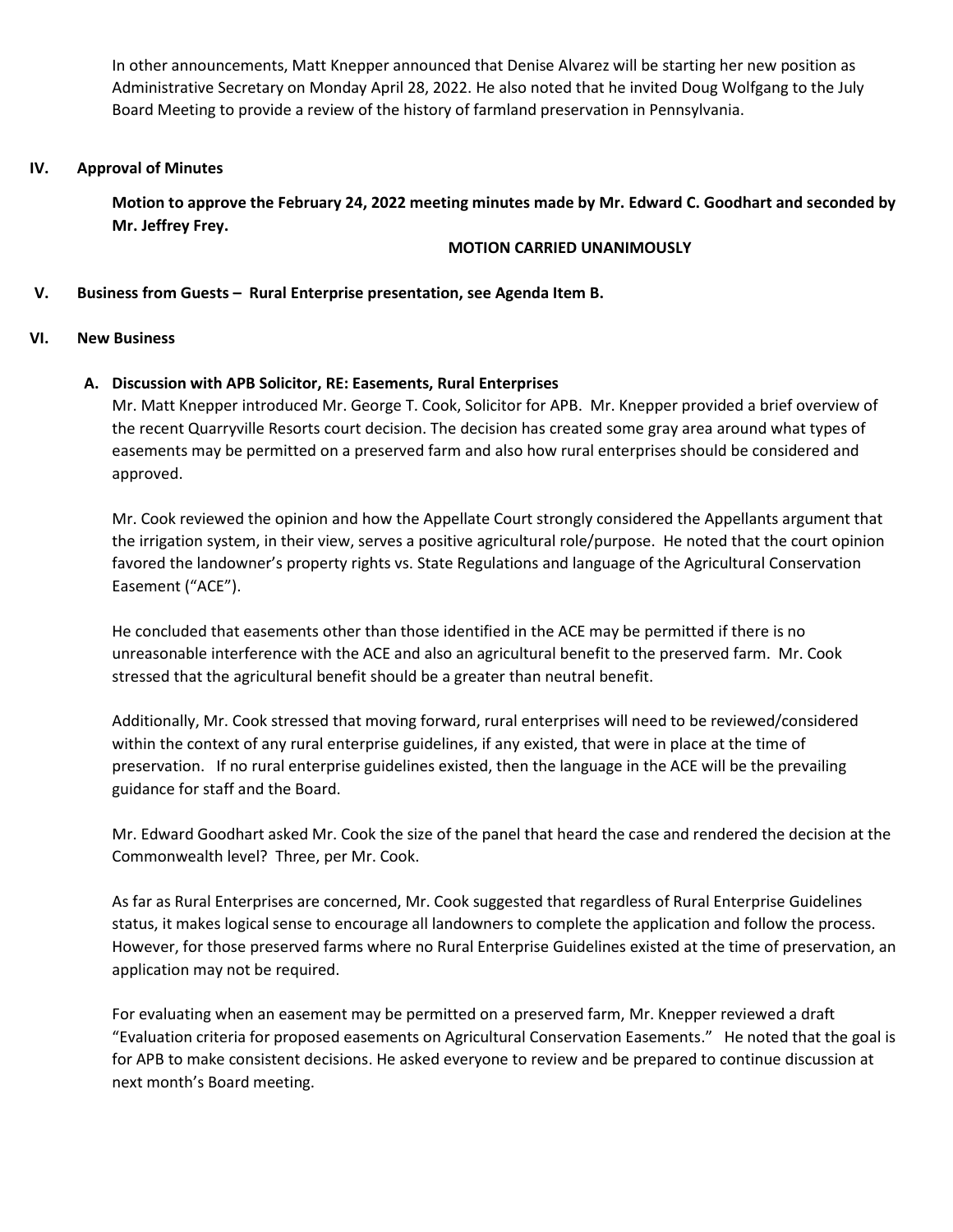In other announcements, Matt Knepper announced that Denise Alvarez will be starting her new position as Administrative Secretary on Monday April 28, 2022. He also noted that he invited Doug Wolfgang to the July Board Meeting to provide a review of the history of farmland preservation in Pennsylvania.

### **IV. Approval of Minutes**

**Motion to approve the February 24, 2022 meeting minutes made by Mr. Edward C. Goodhart and seconded by Mr. Jeffrey Frey.**

### **MOTION CARRIED UNANIMOUSLY**

### **V. Business from Guests – Rural Enterprise presentation, see Agenda Item B.**

#### **VI. New Business**

## **A. Discussion with APB Solicitor, RE: Easements, Rural Enterprises**

Mr. Matt Knepper introduced Mr. George T. Cook, Solicitor for APB. Mr. Knepper provided a brief overview of the recent Quarryville Resorts court decision. The decision has created some gray area around what types of easements may be permitted on a preserved farm and also how rural enterprises should be considered and approved.

Mr. Cook reviewed the opinion and how the Appellate Court strongly considered the Appellants argument that the irrigation system, in their view, serves a positive agricultural role/purpose. He noted that the court opinion favored the landowner's property rights vs. State Regulations and language of the Agricultural Conservation Easement ("ACE").

He concluded that easements other than those identified in the ACE may be permitted if there is no unreasonable interference with the ACE and also an agricultural benefit to the preserved farm. Mr. Cook stressed that the agricultural benefit should be a greater than neutral benefit.

Additionally, Mr. Cook stressed that moving forward, rural enterprises will need to be reviewed/considered within the context of any rural enterprise guidelines, if any existed, that were in place at the time of preservation. If no rural enterprise guidelines existed, then the language in the ACE will be the prevailing guidance for staff and the Board.

Mr. Edward Goodhart asked Mr. Cook the size of the panel that heard the case and rendered the decision at the Commonwealth level? Three, per Mr. Cook.

As far as Rural Enterprises are concerned, Mr. Cook suggested that regardless of Rural Enterprise Guidelines status, it makes logical sense to encourage all landowners to complete the application and follow the process. However, for those preserved farms where no Rural Enterprise Guidelines existed at the time of preservation, an application may not be required.

For evaluating when an easement may be permitted on a preserved farm, Mr. Knepper reviewed a draft "Evaluation criteria for proposed easements on Agricultural Conservation Easements." He noted that the goal is for APB to make consistent decisions. He asked everyone to review and be prepared to continue discussion at next month's Board meeting.